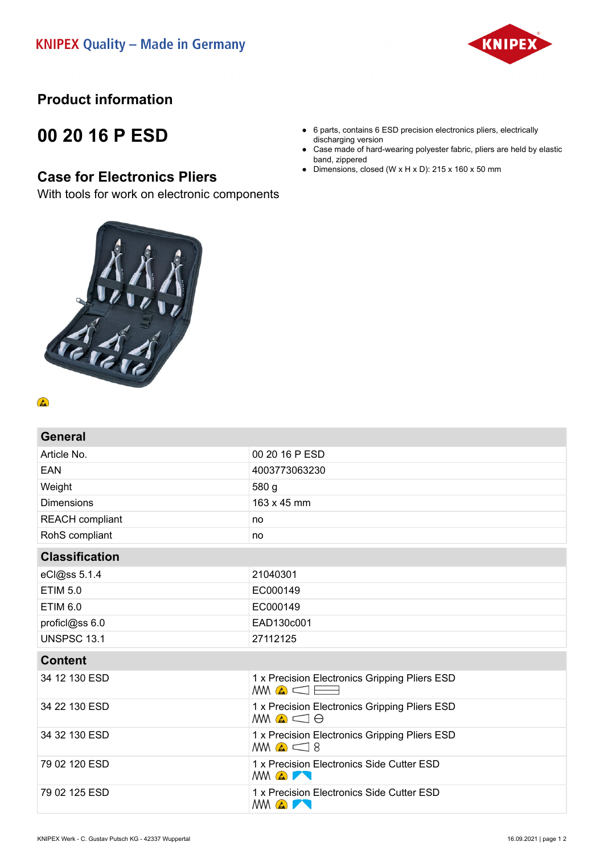

## **Product information**

# **00 20 16 P ESD**

### **Case for Electronics Pliers**

With tools for work on electronic components



#### $\left( \frac{1}{\sqrt{2}}\right)$

| <b>General</b>         |                                                                            |
|------------------------|----------------------------------------------------------------------------|
| Article No.            | 00 20 16 P ESD                                                             |
| EAN                    | 4003773063230                                                              |
| Weight                 | 580 g                                                                      |
| <b>Dimensions</b>      | 163 x 45 mm                                                                |
| <b>REACH</b> compliant | no                                                                         |
| RohS compliant         | no                                                                         |
| <b>Classification</b>  |                                                                            |
| eCl@ss 5.1.4           | 21040301                                                                   |
| <b>ETIM 5.0</b>        | EC000149                                                                   |
| <b>ETIM 6.0</b>        | EC000149                                                                   |
| proficl@ss 6.0         | EAD130c001                                                                 |
| <b>UNSPSC 13.1</b>     | 27112125                                                                   |
| <b>Content</b>         |                                                                            |
| 34 12 130 ESD          | 1 x Precision Electronics Gripping Pliers ESD<br>$MN \triangle \square$    |
| 34 22 130 ESD          | 1 x Precision Electronics Gripping Pliers ESD<br>$AMQ \subseteq \Theta$    |
| 34 32 130 ESD          | 1 x Precision Electronics Gripping Pliers ESD<br>$M\bigcirc \mathcal{L}$ 8 |
| 79 02 120 ESD          | 1 x Precision Electronics Side Cutter ESD<br><b>MM &amp; THE</b>           |
| 79 02 125 ESD          | 1 x Precision Electronics Side Cutter ESD<br><b>MM &amp; THE</b>           |

- 6 parts, contains 6 ESD precision electronics pliers, electrically discharging version
- Case made of hard-wearing polyester fabric, pliers are held by elastic band, zippered
- Dimensions, closed (W  $\times$  H  $\times$  D): 215  $\times$  160  $\times$  50 mm